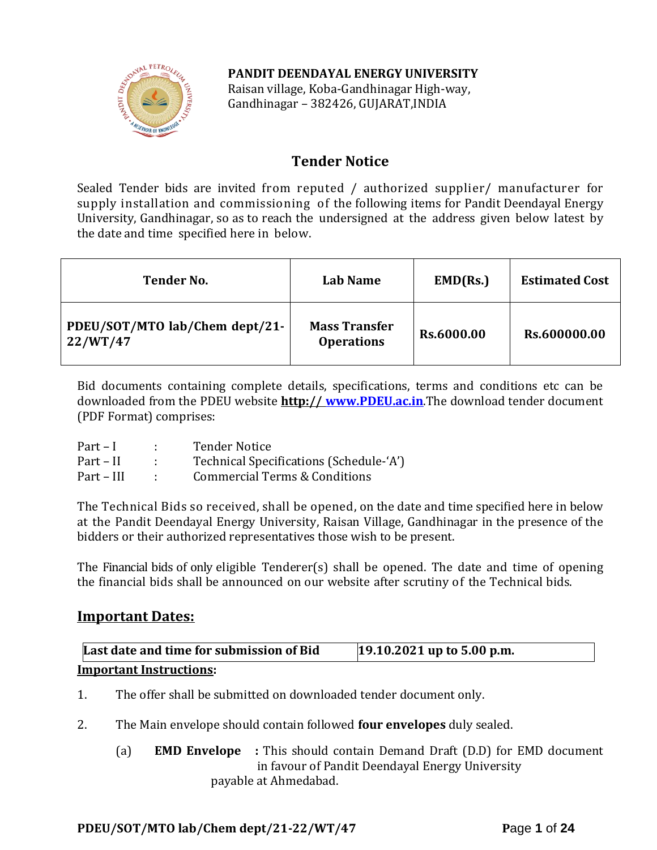## **PANDIT DEENDAYAL ENERGY UNIVERSITY**



Raisan village, Koba-Gandhinagar High-way, Gandhinagar – 382426, GUJARAT,INDIA

# **Tender Notice**

Sealed Tender bids are invited from reputed / authorized supplier/ manufacturer for supply installation and commissioning of the following items for Pandit Deendayal Energy University, Gandhinagar, so as to reach the undersigned at the address given below latest by the date and time specified here in below.

| <b>Tender No.</b>                          | <b>Lab Name</b>                           | EMD(Rs.)   | <b>Estimated Cost</b> |
|--------------------------------------------|-------------------------------------------|------------|-----------------------|
| PDEU/SOT/MTO lab/Chem dept/21-<br>22/WT/47 | <b>Mass Transfer</b><br><b>Operations</b> | Rs.6000.00 | Rs.600000.00          |

Bid documents containing complete details, specifications, terms and conditions etc can be downloaded from the PDEU website **http:// [www.PDEU.ac.in](http://www.pdpu.ac.in/)**.The download tender document (PDF Format) comprises:

| $Part-I$   | <b>Tender Notice</b>                     |
|------------|------------------------------------------|
| Part – II  | Technical Specifications (Schedule-'A')  |
| Part – III | <b>Commercial Terms &amp; Conditions</b> |

The Technical Bids so received, shall be opened, on the date and time specified here in below at the Pandit Deendayal Energy University, Raisan Village, Gandhinagar in the presence of the bidders or their authorized representatives those wish to be present.

The Financial bids of only eligible Tenderer(s) shall be opened. The date and time of opening the financial bids shall be announced on our website after scrutiny of the Technical bids.

# **Important Dates:**

| Last date and time for submission of Bid | $19.10.2021$ up to 5.00 p.m. |
|------------------------------------------|------------------------------|
| <b>Important Instructions:</b>           |                              |

- 1. The offer shall be submitted on downloaded tender document only.
- 2. The Main envelope should contain followed **four envelopes** duly sealed.
	- (a) **EMD Envelope :** This should contain Demand Draft (D.D) for EMD document in favour of Pandit Deendayal Energy University payable at Ahmedabad.

## **PDEU/SOT/MTO lab/Chem dept/21-22/WT/47 P**age **1** of **24**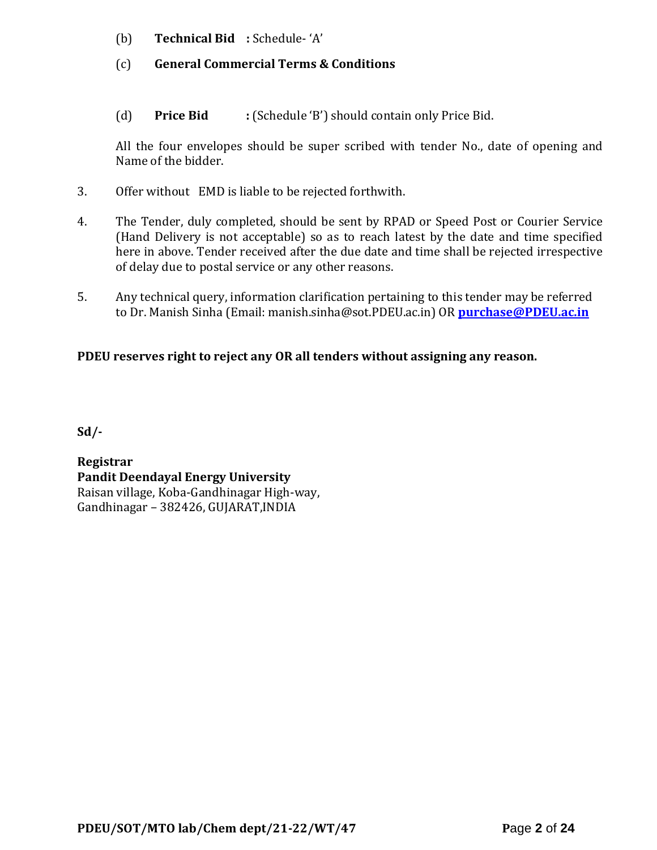- (b) **Technical Bid :** Schedule- 'A'
- (c) **General Commercial Terms & Conditions**
- (d) **Price Bid :** (Schedule 'B') should contain only Price Bid.

All the four envelopes should be super scribed with tender No., date of opening and Name of the bidder.

- 3. Offer without EMD is liable to be rejected forthwith.
- 4. The Tender, duly completed, should be sent by RPAD or Speed Post or Courier Service (Hand Delivery is not acceptable) so as to reach latest by the date and time specified here in above. Tender received after the due date and time shall be rejected irrespective of delay due to postal service or any other reasons.
- 5. Any technical query, information clarification pertaining to this tender may be referred to Dr. Manish Sinha (Email: manish.sinha@sot.PDEU.ac.in) OR **[purchase@PDEU.ac.in](mailto:purchase@pdpu.ac.in)**

# **PDEU reserves right to reject any OR all tenders without assigning any reason.**

**Sd/-**

**Registrar Pandit Deendayal Energy University** Raisan village, Koba-Gandhinagar High-way, Gandhinagar – 382426, GUJARAT,INDIA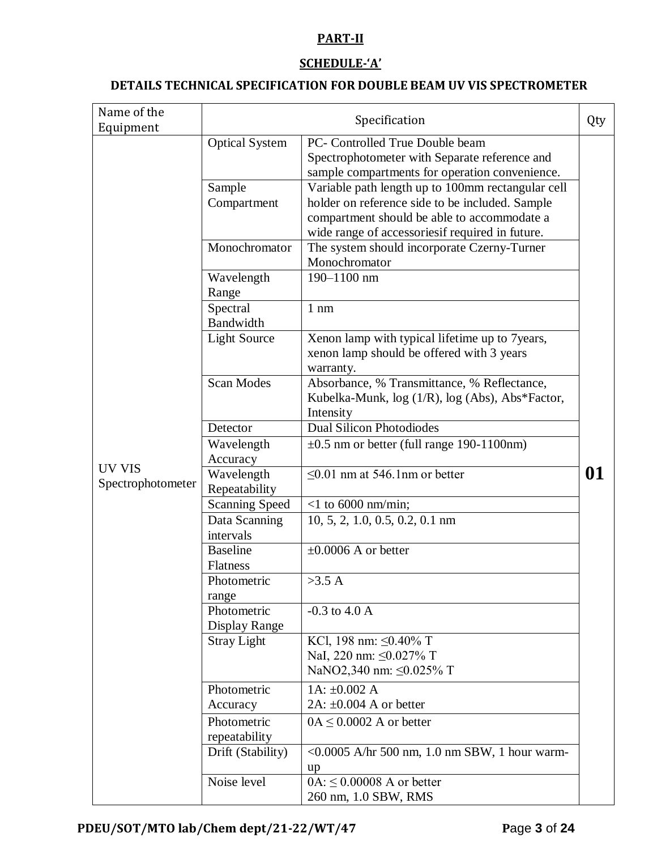## **PART-II**

### **SCHEDULE-'A'**

### **DETAILS TECHNICAL SPECIFICATION FOR DOUBLE BEAM UV VIS SPECTROMETER**

| Name of the<br>Equipment    |                                             | Specification                                                                                                                                                                                          | Qty |
|-----------------------------|---------------------------------------------|--------------------------------------------------------------------------------------------------------------------------------------------------------------------------------------------------------|-----|
|                             | <b>Optical System</b>                       | PC- Controlled True Double beam<br>Spectrophotometer with Separate reference and<br>sample compartments for operation convenience.                                                                     |     |
|                             | Sample<br>Compartment                       | Variable path length up to 100mm rectangular cell<br>holder on reference side to be included. Sample<br>compartment should be able to accommodate a<br>wide range of accessoriesif required in future. |     |
|                             | Monochromator                               | The system should incorporate Czerny-Turner<br>Monochromator                                                                                                                                           |     |
|                             | Wavelength<br>Range                         | 190-1100 nm                                                                                                                                                                                            |     |
|                             | Spectral<br>Bandwidth                       | $1 \text{ nm}$                                                                                                                                                                                         |     |
|                             | <b>Light Source</b>                         | Xenon lamp with typical lifetime up to 7years,<br>xenon lamp should be offered with 3 years<br>warranty.                                                                                               |     |
|                             | <b>Scan Modes</b>                           | Absorbance, % Transmittance, % Reflectance,<br>Kubelka-Munk, log (1/R), log (Abs), Abs*Factor,<br>Intensity                                                                                            |     |
|                             | <b>Dual Silicon Photodiodes</b><br>Detector |                                                                                                                                                                                                        |     |
|                             | Wavelength<br>Accuracy                      | $\pm 0.5$ nm or better (full range 190-1100nm)                                                                                                                                                         |     |
| UV VIS<br>Spectrophotometer | Wavelength<br>Repeatability                 | $\leq 0.01$ nm at 546.1nm or better                                                                                                                                                                    | 01  |
|                             | <b>Scanning Speed</b>                       | $<$ 1 to 6000 nm/min;                                                                                                                                                                                  |     |
|                             | Data Scanning<br>intervals                  | $10, 5, 2, 1.0, 0.5, 0.2, 0.1$ nm                                                                                                                                                                      |     |
|                             | <b>Baseline</b><br>Flatness                 | $\pm 0.0006$ A or better                                                                                                                                                                               |     |
|                             | Photometric<br>range                        | >3.5 A                                                                                                                                                                                                 |     |
|                             | Photometric<br>Display Range                | $-0.3$ to $4.0$ A                                                                                                                                                                                      |     |
|                             | <b>Stray Light</b>                          | KCl, 198 nm: $\leq 0.40\%$ T<br>NaI, 220 nm: ≤0.027% T<br>NaNO2,340 nm: ≤0.025% T                                                                                                                      |     |
|                             | Photometric                                 | 1A: $\pm 0.002$ A                                                                                                                                                                                      |     |
|                             | Accuracy                                    | 2A: $\pm 0.004$ A or better                                                                                                                                                                            |     |
|                             | Photometric<br>repeatability                | $0A \leq 0.0002$ A or better                                                                                                                                                                           |     |
|                             | Drift (Stability)                           | <0.0005 A/hr 500 nm, 1.0 nm SBW, 1 hour warm-<br>up                                                                                                                                                    |     |
|                             | Noise level                                 | $0A: \leq 0.00008$ A or better<br>260 nm, 1.0 SBW, RMS                                                                                                                                                 |     |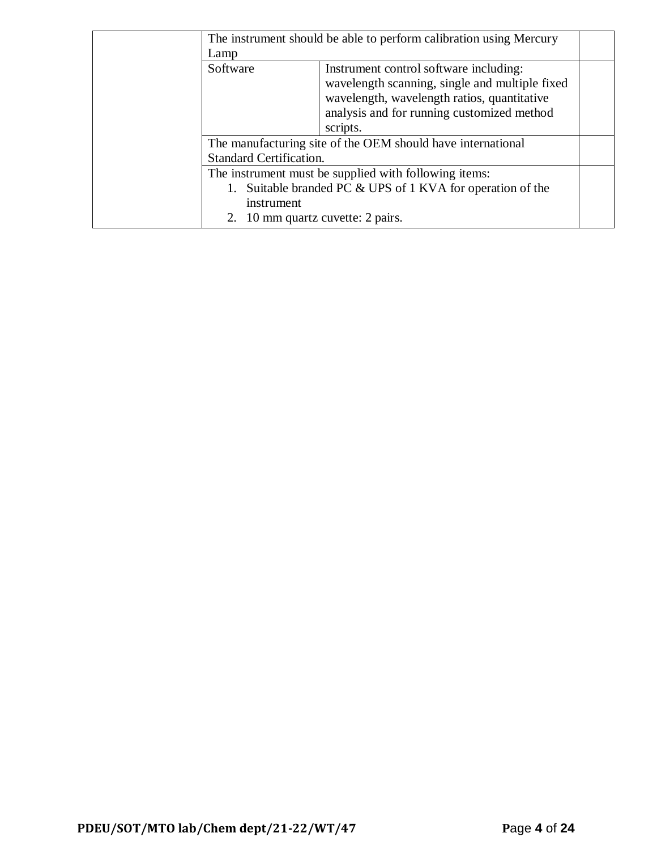| The instrument should be able to perform calibration using Mercury                                                                                                  |                                                                                                                                                                                                   |  |
|---------------------------------------------------------------------------------------------------------------------------------------------------------------------|---------------------------------------------------------------------------------------------------------------------------------------------------------------------------------------------------|--|
| Lamp                                                                                                                                                                |                                                                                                                                                                                                   |  |
| Software                                                                                                                                                            | Instrument control software including:<br>wavelength scanning, single and multiple fixed<br>wavelength, wavelength ratios, quantitative<br>analysis and for running customized method<br>scripts. |  |
|                                                                                                                                                                     | The manufacturing site of the OEM should have international                                                                                                                                       |  |
| Standard Certification.                                                                                                                                             |                                                                                                                                                                                                   |  |
| The instrument must be supplied with following items:<br>Suitable branded PC & UPS of 1 KVA for operation of the<br>instrument<br>2. 10 mm quartz cuvette: 2 pairs. |                                                                                                                                                                                                   |  |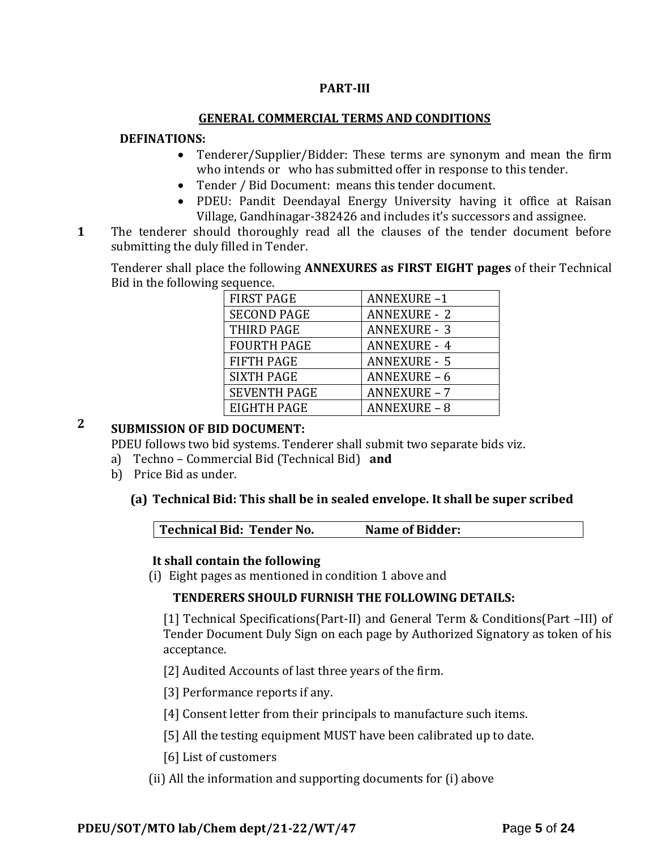### **PART-III**

#### **GENERAL COMMERCIAL TERMS AND CONDITIONS**

#### **DEFINATIONS:**

- Tenderer/Supplier/Bidder: These terms are synonym and mean the firm who intends or who has submitted offer in response to this tender.
- Tender / Bid Document: means this tender document.
- PDEU: Pandit Deendayal Energy University having it office at Raisan Village, Gandhinagar-382426 and includes it's successors and assignee.
- **1**1. The tenderer should thoroughly read all the clauses of the tender document before submitting the duly filled in Tender.

Tenderer shall place the following **ANNEXURES as FIRST EIGHT pages** of their Technical Bid in the following sequence.

| <b>FIRST PAGE</b>   | <b>ANNEXURE-1</b>   |
|---------------------|---------------------|
| <b>SECOND PAGE</b>  | <b>ANNEXURE - 2</b> |
| THIRD PAGE          | <b>ANNEXURE - 3</b> |
| <b>FOURTH PAGE</b>  | <b>ANNEXURE - 4</b> |
| <b>FIFTH PAGE</b>   | <b>ANNEXURE - 5</b> |
| <b>SIXTH PAGE</b>   | ANNEXURE-6          |
| <b>SEVENTH PAGE</b> | <b>ANNEXURE - 7</b> |
| EIGHTH PAGE         | <b>ANNEXURE - 8</b> |

# **2 SUBMISSION OF BID DOCUMENT:**

PDEU follows two bid systems. Tenderer shall submit two separate bids viz.

- a) Techno Commercial Bid (Technical Bid) **and**
- b) Price Bid as under.

### **(a) Technical Bid: This shall be in sealed envelope. It shall be super scribed**

|  | Technical Bid: Tender No.<br><b>Name of Bidder:</b> |  |
|--|-----------------------------------------------------|--|
|--|-----------------------------------------------------|--|

#### **It shall contain the following**

(i) Eight pages as mentioned in condition 1 above and

### **TENDERERS SHOULD FURNISH THE FOLLOWING DETAILS:**

[1] Technical Specifications(Part-II) and General Term & Conditions(Part –III) of Tender Document Duly Sign on each page by Authorized Signatory as token of his acceptance.

[2] Audited Accounts of last three years of the firm.

[3] Performance reports if any.

[4] Consent letter from their principals to manufacture such items.

- [5] All the testing equipment MUST have been calibrated up to date.
- [6] List of customers
- (ii) All the information and supporting documents for (i) above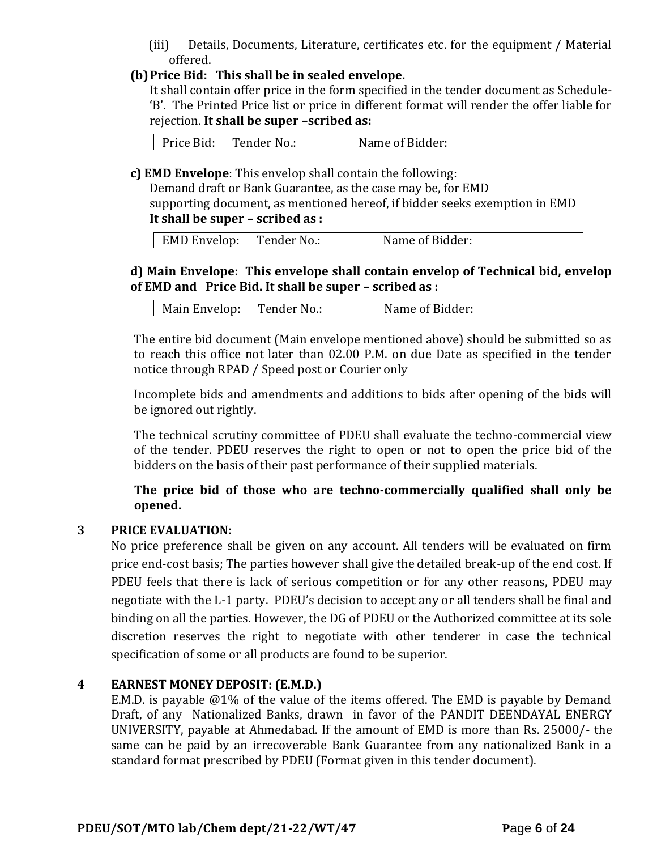(iii) Details, Documents, Literature, certificates etc. for the equipment / Material offered.

### **(b)Price Bid: This shall be in sealed envelope.**

It shall contain offer price in the form specified in the tender document as Schedule- 'B'. The Printed Price list or price in different format will render the offer liable for rejection. **It shall be super –scribed as:**

Price Bid: Tender No.: Name of Bidder:

**c) EMD Envelope**: This envelop shall contain the following:

Demand draft or Bank Guarantee, as the case may be, for EMD supporting document, as mentioned hereof, if bidder seeks exemption in EMD **It shall be super – scribed as :**

|  | EMD Envelop: | Tender No.: | Name of Bidder: |
|--|--------------|-------------|-----------------|
|--|--------------|-------------|-----------------|

### **d) Main Envelope: This envelope shall contain envelop of Technical bid, envelop of EMD and Price Bid. It shall be super – scribed as :**

| Main Envelop: | Tender No.: | Name of Bidder: |
|---------------|-------------|-----------------|
|---------------|-------------|-----------------|

The entire bid document (Main envelope mentioned above) should be submitted so as to reach this office not later than 02.00 P.M. on due Date as specified in the tender notice through RPAD / Speed post or Courier only

Incomplete bids and amendments and additions to bids after opening of the bids will be ignored out rightly.

The technical scrutiny committee of PDEU shall evaluate the techno-commercial view of the tender. PDEU reserves the right to open or not to open the price bid of the bidders on the basis of their past performance of their supplied materials.

**The price bid of those who are techno-commercially qualified shall only be opened.** 

## **3 PRICE EVALUATION:**

No price preference shall be given on any account. All tenders will be evaluated on firm price end-cost basis; The parties however shall give the detailed break-up of the end cost. If PDEU feels that there is lack of serious competition or for any other reasons, PDEU may negotiate with the L-1 party. PDEU's decision to accept any or all tenders shall be final and binding on all the parties. However, the DG of PDEU or the Authorized committee at its sole discretion reserves the right to negotiate with other tenderer in case the technical specification of some or all products are found to be superior.

### **4 EARNEST MONEY DEPOSIT: (E.M.D.)**

E.M.D. is payable @1% of the value of the items offered. The EMD is payable by Demand Draft, of any Nationalized Banks, drawn in favor of the PANDIT DEENDAYAL ENERGY UNIVERSITY, payable at Ahmedabad. If the amount of EMD is more than Rs. 25000/- the same can be paid by an irrecoverable Bank Guarantee from any nationalized Bank in a standard format prescribed by PDEU (Format given in this tender document).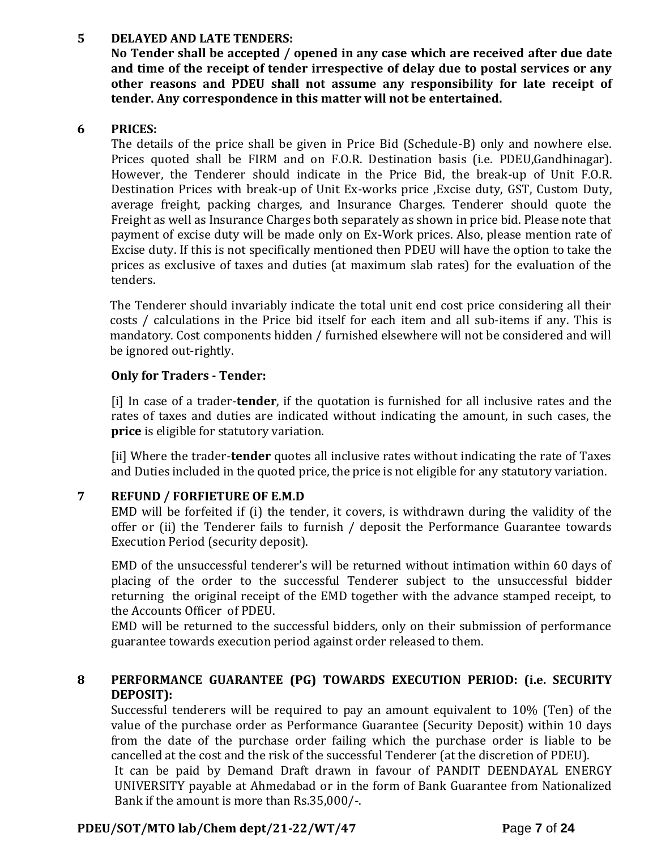### **5 DELAYED AND LATE TENDERS:**

**No Tender shall be accepted / opened in any case which are received after due date and time of the receipt of tender irrespective of delay due to postal services or any other reasons and PDEU shall not assume any responsibility for late receipt of tender. Any correspondence in this matter will not be entertained.**

### **6 PRICES:**

The details of the price shall be given in Price Bid (Schedule-B) only and nowhere else. Prices quoted shall be FIRM and on F.O.R. Destination basis (i.e. PDEU,Gandhinagar). However, the Tenderer should indicate in the Price Bid, the break-up of Unit F.O.R. Destination Prices with break-up of Unit Ex-works price ,Excise duty, GST, Custom Duty, average freight, packing charges, and Insurance Charges. Tenderer should quote the Freight as well as Insurance Charges both separately as shown in price bid. Please note that payment of excise duty will be made only on Ex-Work prices. Also, please mention rate of Excise duty. If this is not specifically mentioned then PDEU will have the option to take the prices as exclusive of taxes and duties (at maximum slab rates) for the evaluation of the tenders.

The Tenderer should invariably indicate the total unit end cost price considering all their costs / calculations in the Price bid itself for each item and all sub-items if any. This is mandatory. Cost components hidden / furnished elsewhere will not be considered and will be ignored out-rightly.

### **Only for Traders - Tender:**

[i] In case of a trader-**tender**, if the quotation is furnished for all inclusive rates and the rates of taxes and duties are indicated without indicating the amount, in such cases, the **price** is eligible for statutory variation.

[ii] Where the trader-**tender** quotes all inclusive rates without indicating the rate of Taxes and Duties included in the quoted price, the price is not eligible for any statutory variation.

## **7 REFUND / FORFIETURE OF E.M.D**

EMD will be forfeited if (i) the tender, it covers, is withdrawn during the validity of the offer or (ii) the Tenderer fails to furnish / deposit the Performance Guarantee towards Execution Period (security deposit).

EMD of the unsuccessful tenderer's will be returned without intimation within 60 days of placing of the order to the successful Tenderer subject to the unsuccessful bidder returning the original receipt of the EMD together with the advance stamped receipt, to the Accounts Officer of PDEU.

EMD will be returned to the successful bidders, only on their submission of performance guarantee towards execution period against order released to them.

## **8 PERFORMANCE GUARANTEE (PG) TOWARDS EXECUTION PERIOD: (i.e. SECURITY DEPOSIT):**

Successful tenderers will be required to pay an amount equivalent to 10% (Ten) of the value of the purchase order as Performance Guarantee (Security Deposit) within 10 days from the date of the purchase order failing which the purchase order is liable to be cancelled at the cost and the risk of the successful Tenderer (at the discretion of PDEU).

It can be paid by Demand Draft drawn in favour of PANDIT DEENDAYAL ENERGY UNIVERSITY payable at Ahmedabad or in the form of Bank Guarantee from Nationalized Bank if the amount is more than Rs.35,000/-.

## **PDEU/SOT/MTO lab/Chem dept/21-22/WT/47 P**age **7** of **24**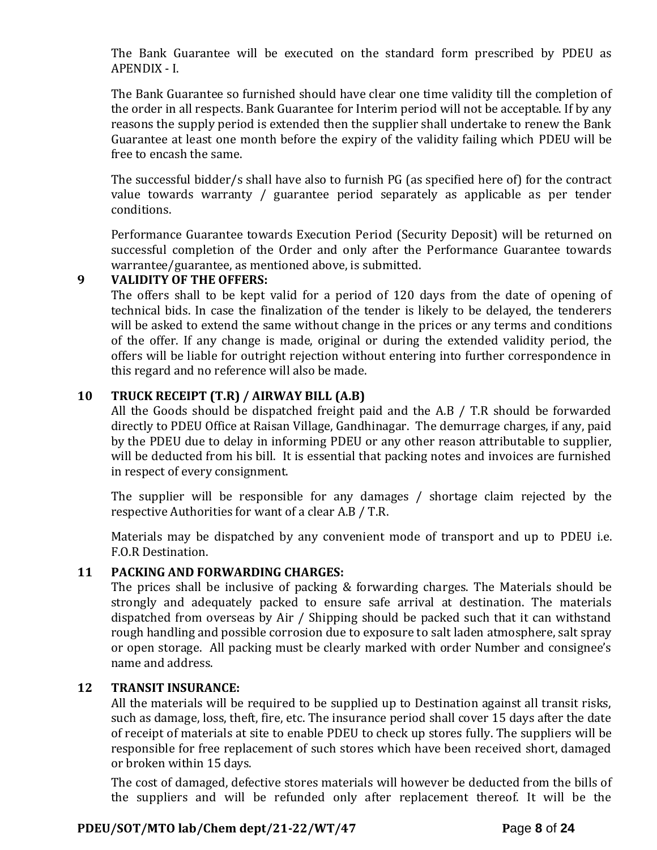The Bank Guarantee will be executed on the standard form prescribed by PDEU as APENDIX - I.

The Bank Guarantee so furnished should have clear one time validity till the completion of the order in all respects. Bank Guarantee for Interim period will not be acceptable. If by any reasons the supply period is extended then the supplier shall undertake to renew the Bank Guarantee at least one month before the expiry of the validity failing which PDEU will be free to encash the same.

The successful bidder/s shall have also to furnish PG (as specified here of) for the contract value towards warranty / guarantee period separately as applicable as per tender conditions.

Performance Guarantee towards Execution Period (Security Deposit) will be returned on successful completion of the Order and only after the Performance Guarantee towards warrantee/guarantee, as mentioned above, is submitted.

### **9 VALIDITY OF THE OFFERS:**

The offers shall to be kept valid for a period of 120 days from the date of opening of technical bids. In case the finalization of the tender is likely to be delayed, the tenderers will be asked to extend the same without change in the prices or any terms and conditions of the offer. If any change is made, original or during the extended validity period, the offers will be liable for outright rejection without entering into further correspondence in this regard and no reference will also be made.

## **10 TRUCK RECEIPT (T.R) / AIRWAY BILL (A.B)**

All the Goods should be dispatched freight paid and the A.B / T.R should be forwarded directly to PDEU Office at Raisan Village, Gandhinagar. The demurrage charges, if any, paid by the PDEU due to delay in informing PDEU or any other reason attributable to supplier, will be deducted from his bill. It is essential that packing notes and invoices are furnished in respect of every consignment.

The supplier will be responsible for any damages / shortage claim rejected by the respective Authorities for want of a clear A.B / T.R.

Materials may be dispatched by any convenient mode of transport and up to PDEU i.e. F.O.R Destination.

## **11 PACKING AND FORWARDING CHARGES:**

The prices shall be inclusive of packing & forwarding charges. The Materials should be strongly and adequately packed to ensure safe arrival at destination. The materials dispatched from overseas by Air / Shipping should be packed such that it can withstand rough handling and possible corrosion due to exposure to salt laden atmosphere, salt spray or open storage. All packing must be clearly marked with order Number and consignee's name and address.

### **12 TRANSIT INSURANCE:**

All the materials will be required to be supplied up to Destination against all transit risks, such as damage, loss, theft, fire, etc. The insurance period shall cover 15 days after the date of receipt of materials at site to enable PDEU to check up stores fully. The suppliers will be responsible for free replacement of such stores which have been received short, damaged or broken within 15 days.

The cost of damaged, defective stores materials will however be deducted from the bills of the suppliers and will be refunded only after replacement thereof. It will be the

## **PDEU/SOT/MTO lab/Chem dept/21-22/WT/47 P**age **8** of **24**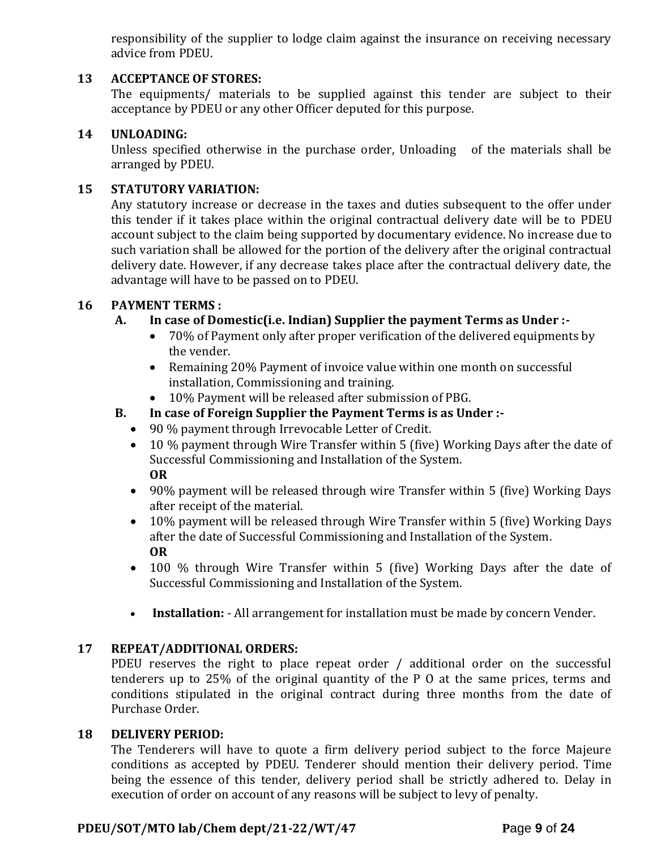responsibility of the supplier to lodge claim against the insurance on receiving necessary advice from PDEU.

### **13 ACCEPTANCE OF STORES:**

The equipments/ materials to be supplied against this tender are subject to their acceptance by PDEU or any other Officer deputed for this purpose.

### **14 UNLOADING:**

Unless specified otherwise in the purchase order, Unloading of the materials shall be arranged by PDEU.

### **15 STATUTORY VARIATION:**

Any statutory increase or decrease in the taxes and duties subsequent to the offer under this tender if it takes place within the original contractual delivery date will be to PDEU account subject to the claim being supported by documentary evidence. No increase due to such variation shall be allowed for the portion of the delivery after the original contractual delivery date. However, if any decrease takes place after the contractual delivery date, the advantage will have to be passed on to PDEU.

### **16 PAYMENT TERMS :**

## **A. In case of Domestic(i.e. Indian) Supplier the payment Terms as Under :-**

- 70% of Payment only after proper verification of the delivered equipments by the vender.
- Remaining 20% Payment of invoice value within one month on successful installation, Commissioning and training.
- 10% Payment will be released after submission of PBG.
- **B. In case of Foreign Supplier the Payment Terms is as Under :-**
	- 90 % payment through Irrevocable Letter of Credit.
	- 10 % payment through Wire Transfer within 5 (five) Working Days after the date of Successful Commissioning and Installation of the System. **OR**
	- 90% payment will be released through wire Transfer within 5 (five) Working Days after receipt of the material.
	- 10% payment will be released through Wire Transfer within 5 (five) Working Days after the date of Successful Commissioning and Installation of the System. **OR**
	- 100 % through Wire Transfer within 5 (five) Working Days after the date of Successful Commissioning and Installation of the System.
	- **Installation:** All arrangement for installation must be made by concern Vender.

## **17 REPEAT/ADDITIONAL ORDERS:**

PDEU reserves the right to place repeat order / additional order on the successful tenderers up to 25% of the original quantity of the P O at the same prices, terms and conditions stipulated in the original contract during three months from the date of Purchase Order.

### **18 DELIVERY PERIOD:**

The Tenderers will have to quote a firm delivery period subject to the force Majeure conditions as accepted by PDEU. Tenderer should mention their delivery period. Time being the essence of this tender, delivery period shall be strictly adhered to. Delay in execution of order on account of any reasons will be subject to levy of penalty.

### **PDEU/SOT/MTO lab/Chem dept/21-22/WT/47 P**age **9** of **24**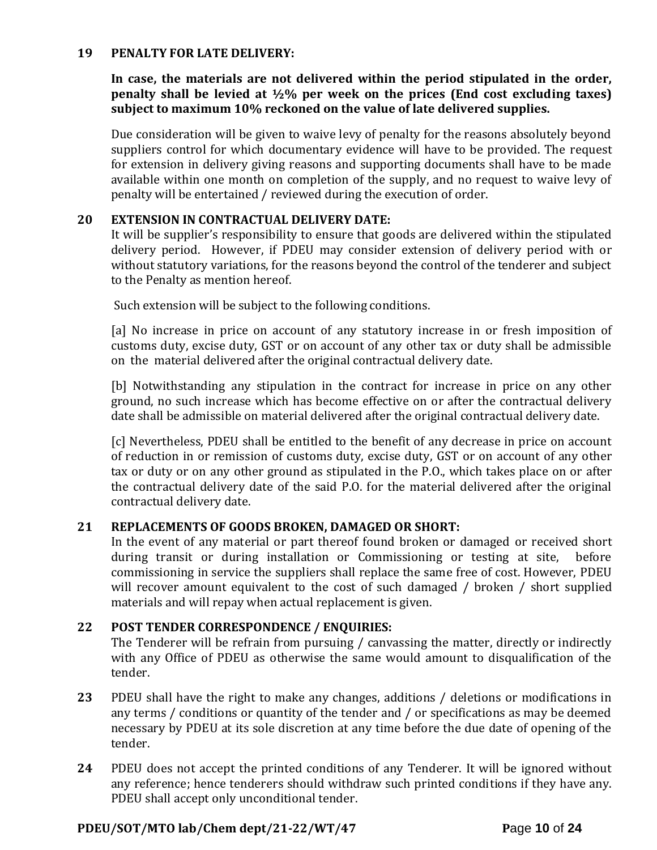#### **19 PENALTY FOR LATE DELIVERY:**

**In case, the materials are not delivered within the period stipulated in the order, penalty shall be levied at ½% per week on the prices (End cost excluding taxes) subject to maximum 10% reckoned on the value of late delivered supplies.**

Due consideration will be given to waive levy of penalty for the reasons absolutely beyond suppliers control for which documentary evidence will have to be provided. The request for extension in delivery giving reasons and supporting documents shall have to be made available within one month on completion of the supply, and no request to waive levy of penalty will be entertained / reviewed during the execution of order.

### **20 EXTENSION IN CONTRACTUAL DELIVERY DATE:**

It will be supplier's responsibility to ensure that goods are delivered within the stipulated delivery period. However, if PDEU may consider extension of delivery period with or without statutory variations, for the reasons beyond the control of the tenderer and subject to the Penalty as mention hereof.

Such extension will be subject to the following conditions.

[a] No increase in price on account of any statutory increase in or fresh imposition of customs duty, excise duty, GST or on account of any other tax or duty shall be admissible on the material delivered after the original contractual delivery date.

[b] Notwithstanding any stipulation in the contract for increase in price on any other ground, no such increase which has become effective on or after the contractual delivery date shall be admissible on material delivered after the original contractual delivery date.

[c] Nevertheless, PDEU shall be entitled to the benefit of any decrease in price on account of reduction in or remission of customs duty, excise duty, GST or on account of any other tax or duty or on any other ground as stipulated in the P.O., which takes place on or after the contractual delivery date of the said P.O. for the material delivered after the original contractual delivery date.

### **21 REPLACEMENTS OF GOODS BROKEN, DAMAGED OR SHORT:**

In the event of any material or part thereof found broken or damaged or received short during transit or during installation or Commissioning or testing at site, before commissioning in service the suppliers shall replace the same free of cost. However, PDEU will recover amount equivalent to the cost of such damaged / broken / short supplied materials and will repay when actual replacement is given.

### **22 POST TENDER CORRESPONDENCE / ENQUIRIES:**

The Tenderer will be refrain from pursuing / canvassing the matter, directly or indirectly with any Office of PDEU as otherwise the same would amount to disqualification of the tender.

- **23** PDEU shall have the right to make any changes, additions / deletions or modifications in any terms / conditions or quantity of the tender and / or specifications as may be deemed necessary by PDEU at its sole discretion at any time before the due date of opening of the tender.
- **24** PDEU does not accept the printed conditions of any Tenderer. It will be ignored without any reference; hence tenderers should withdraw such printed conditions if they have any. PDEU shall accept only unconditional tender.

### **PDEU/SOT/MTO lab/Chem dept/21-22/WT/47 P**age **10** of **24**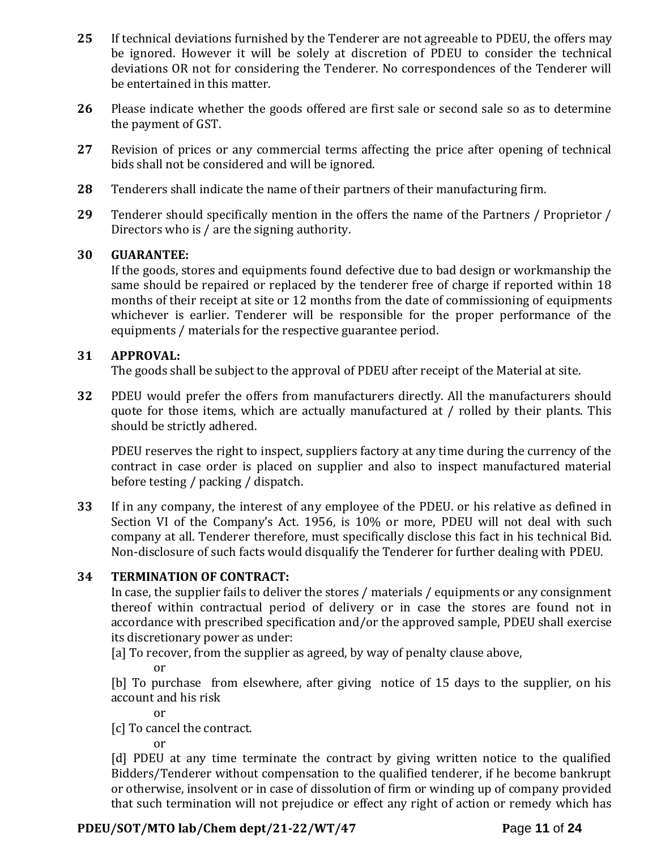- **25** If technical deviations furnished by the Tenderer are not agreeable to PDEU, the offers may be ignored. However it will be solely at discretion of PDEU to consider the technical deviations OR not for considering the Tenderer. No correspondences of the Tenderer will be entertained in this matter.
- **26** Please indicate whether the goods offered are first sale or second sale so as to determine the payment of GST.
- **27** Revision of prices or any commercial terms affecting the price after opening of technical bids shall not be considered and will be ignored.
- **28** Tenderers shall indicate the name of their partners of their manufacturing firm.
- **29** Tenderer should specifically mention in the offers the name of the Partners / Proprietor / Directors who is / are the signing authority.

### **30 GUARANTEE:**

If the goods, stores and equipments found defective due to bad design or workmanship the same should be repaired or replaced by the tenderer free of charge if reported within 18 months of their receipt at site or 12 months from the date of commissioning of equipments whichever is earlier. Tenderer will be responsible for the proper performance of the equipments / materials for the respective guarantee period.

### **31 APPROVAL:**

The goods shall be subject to the approval of PDEU after receipt of the Material at site.

**32** PDEU would prefer the offers from manufacturers directly. All the manufacturers should quote for those items, which are actually manufactured at / rolled by their plants. This should be strictly adhered.

PDEU reserves the right to inspect, suppliers factory at any time during the currency of the contract in case order is placed on supplier and also to inspect manufactured material before testing / packing / dispatch.

**33** If in any company, the interest of any employee of the PDEU. or his relative as defined in Section VI of the Company's Act. 1956, is 10% or more, PDEU will not deal with such company at all. Tenderer therefore, must specifically disclose this fact in his technical Bid. Non-disclosure of such facts would disqualify the Tenderer for further dealing with PDEU.

## **34 TERMINATION OF CONTRACT:**

In case, the supplier fails to deliver the stores / materials / equipments or any consignment thereof within contractual period of delivery or in case the stores are found not in accordance with prescribed specification and/or the approved sample, PDEU shall exercise its discretionary power as under:

[a] To recover, from the supplier as agreed, by way of penalty clause above,

or

[b] To purchase from elsewhere, after giving notice of 15 days to the supplier, on his account and his risk

or

[c] To cancel the contract.

or

[d] PDEU at any time terminate the contract by giving written notice to the qualified Bidders/Tenderer without compensation to the qualified tenderer, if he become bankrupt or otherwise, insolvent or in case of dissolution of firm or winding up of company provided that such termination will not prejudice or effect any right of action or remedy which has

## **PDEU/SOT/MTO lab/Chem dept/21-22/WT/47 P**age **11** of **24**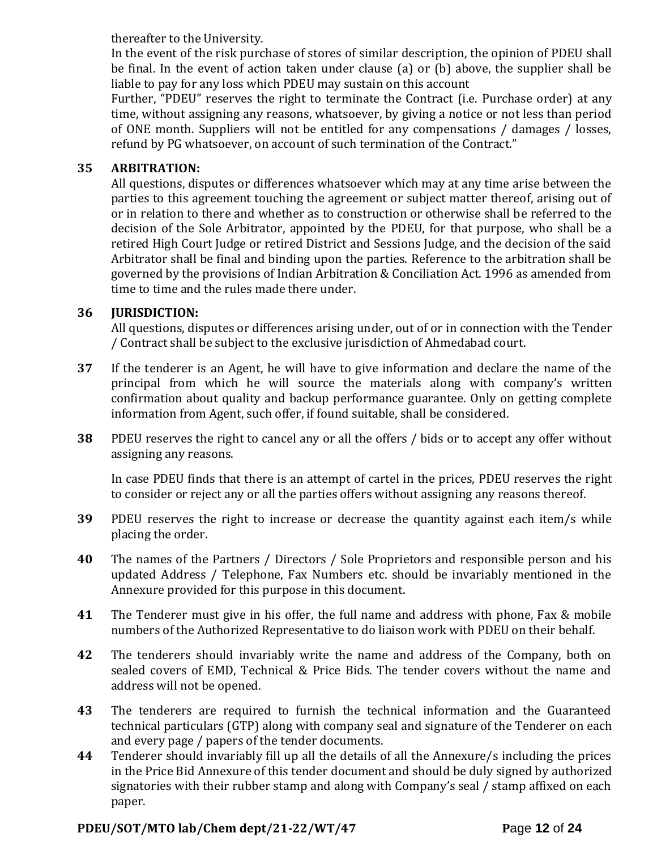thereafter to the University.

In the event of the risk purchase of stores of similar description, the opinion of PDEU shall be final. In the event of action taken under clause (a) or (b) above, the supplier shall be liable to pay for any loss which PDEU may sustain on this account

Further, "PDEU" reserves the right to terminate the Contract (i.e. Purchase order) at any time, without assigning any reasons, whatsoever, by giving a notice or not less than period of ONE month. Suppliers will not be entitled for any compensations / damages / losses, refund by PG whatsoever, on account of such termination of the Contract."

### **35 ARBITRATION:**

All questions, disputes or differences whatsoever which may at any time arise between the parties to this agreement touching the agreement or subject matter thereof, arising out of or in relation to there and whether as to construction or otherwise shall be referred to the decision of the Sole Arbitrator, appointed by the PDEU, for that purpose, who shall be a retired High Court Judge or retired District and Sessions Judge, and the decision of the said Arbitrator shall be final and binding upon the parties. Reference to the arbitration shall be governed by the provisions of Indian Arbitration & Conciliation Act. 1996 as amended from time to time and the rules made there under.

## **36 JURISDICTION:**

All questions, disputes or differences arising under, out of or in connection with the Tender / Contract shall be subject to the exclusive jurisdiction of Ahmedabad court.

- **37** If the tenderer is an Agent, he will have to give information and declare the name of the principal from which he will source the materials along with company's written confirmation about quality and backup performance guarantee. Only on getting complete information from Agent, such offer, if found suitable, shall be considered.
- **38** PDEU reserves the right to cancel any or all the offers / bids or to accept any offer without assigning any reasons.

In case PDEU finds that there is an attempt of cartel in the prices, PDEU reserves the right to consider or reject any or all the parties offers without assigning any reasons thereof.

- **39** PDEU reserves the right to increase or decrease the quantity against each item/s while placing the order.
- **40** The names of the Partners / Directors / Sole Proprietors and responsible person and his updated Address / Telephone, Fax Numbers etc. should be invariably mentioned in the Annexure provided for this purpose in this document.
- **41** The Tenderer must give in his offer, the full name and address with phone, Fax & mobile numbers of the Authorized Representative to do liaison work with PDEU on their behalf.
- **42** The tenderers should invariably write the name and address of the Company, both on sealed covers of EMD, Technical & Price Bids. The tender covers without the name and address will not be opened.
- **43** The tenderers are required to furnish the technical information and the Guaranteed technical particulars (GTP) along with company seal and signature of the Tenderer on each and every page / papers of the tender documents.
- **44** Tenderer should invariably fill up all the details of all the Annexure/s including the prices in the Price Bid Annexure of this tender document and should be duly signed by authorized signatories with their rubber stamp and along with Company's seal / stamp affixed on each paper.

## **PDEU/SOT/MTO lab/Chem dept/21-22/WT/47 P**age **12** of **24**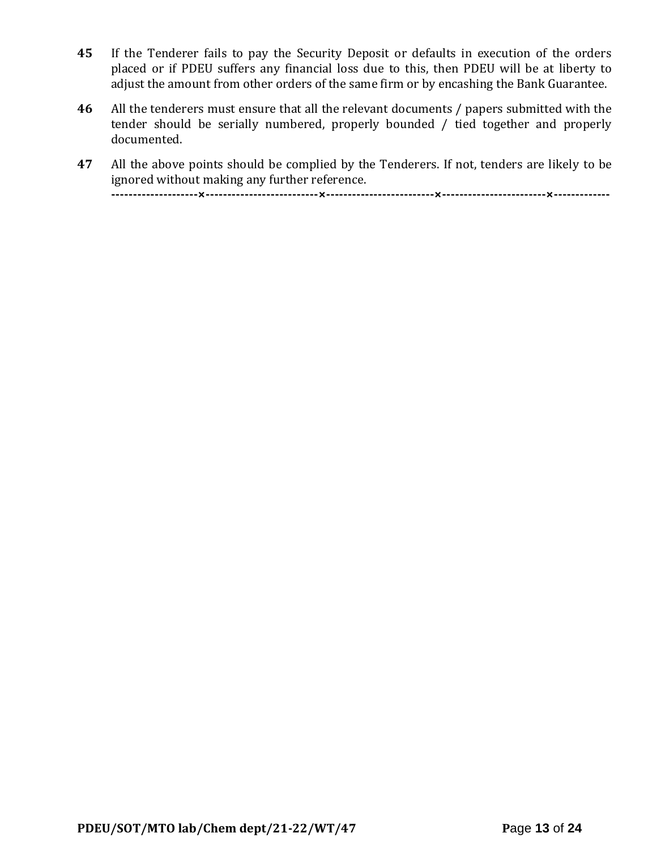- **45** If the Tenderer fails to pay the Security Deposit or defaults in execution of the orders placed or if PDEU suffers any financial loss due to this, then PDEU will be at liberty to adjust the amount from other orders of the same firm or by encashing the Bank Guarantee.
- **46** All the tenderers must ensure that all the relevant documents / papers submitted with the tender should be serially numbered, properly bounded / tied together and properly documented.
- **47** All the above points should be complied by the Tenderers. If not, tenders are likely to be ignored without making any further reference.

**--------------------×--------------------------×-------------------------×------------------------×-------------**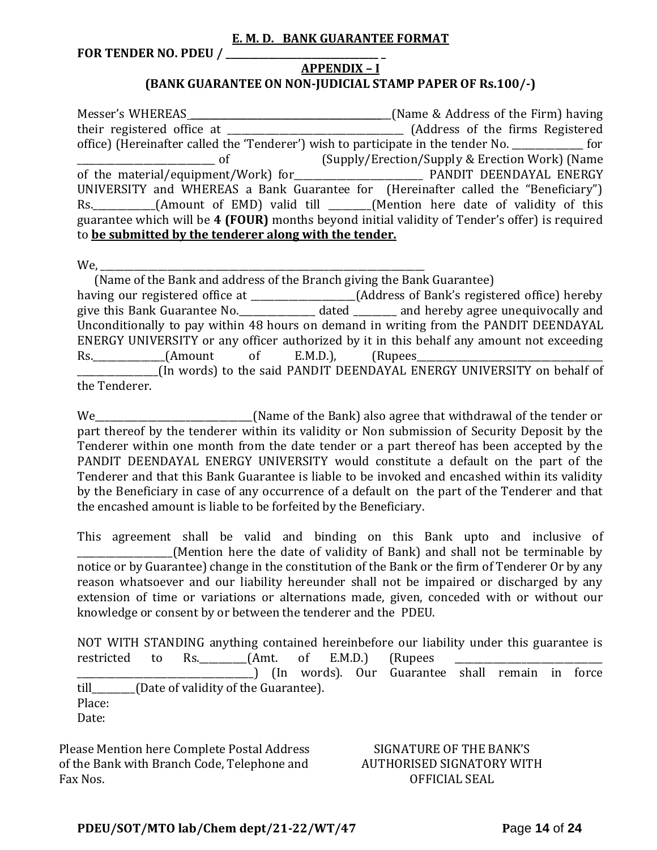#### **E. M. D. BANK GUARANTEE FORMAT**

**FOR TENDER NO. PDEU / \_\_\_\_\_\_\_\_\_\_\_\_\_\_\_\_\_\_\_\_\_\_\_\_\_\_\_\_\_\_\_\_ \_**

### **APPENDIX – I (BANK GUARANTEE ON NON-JUDICIAL STAMP PAPER OF Rs.100/-)**

Messer's WHEREAS \_\_\_\_\_\_\_\_\_\_\_\_\_\_\_\_\_\_\_\_\_\_\_\_\_\_\_\_\_\_\_\_\_\_\_\_\_\_\_\_\_\_(Name & Address of the Firm) having their registered office at \_\_\_\_\_\_\_\_\_\_\_\_\_\_\_\_\_\_\_\_\_\_\_\_\_\_\_\_\_\_\_\_\_\_\_\_\_ (Address of the firms Registered office) (Hereinafter called the 'Tenderer') wish to participate in the tender No. \_\_\_\_\_\_\_\_\_\_\_\_\_\_\_ for \_\_\_\_\_\_\_\_\_\_\_\_\_\_\_\_\_\_\_\_\_\_\_\_\_\_\_\_\_ of (Supply/Erection/Supply & Erection Work) (Name of the material/equipment/Work) for **Every Manual PANDIT DEENDAYAL ENERGY** UNIVERSITY and WHEREAS a Bank Guarantee for (Hereinafter called the "Beneficiary") Rs. \_\_\_\_\_\_\_\_\_\_\_(Amount of EMD) valid till \_\_\_\_\_\_(Mention here date of validity of this guarantee which will be **4 (FOUR)** months beyond initial validity of Tender's offer) is required to **be submitted by the tenderer along with the tender.**

We,

 (Name of the Bank and address of the Branch giving the Bank Guarantee) having our registered office at \_\_\_\_\_\_\_\_\_\_\_\_\_\_\_\_\_\_\_\_\_\_(Address of Bank's registered office) hereby give this Bank Guarantee No.\_\_\_\_\_\_\_\_\_\_\_\_\_\_\_\_ dated \_\_\_\_\_\_\_\_\_ and hereby agree unequivocally and Unconditionally to pay within 48 hours on demand in writing from the PANDIT DEENDAYAL ENERGY UNIVERSITY or any officer authorized by it in this behalf any amount not exceeding Rs. (Amount of E.M.D.), (Rupees \_\_\_\_\_\_\_\_\_\_\_\_\_\_\_\_\_(In words) to the said PANDIT DEENDAYAL ENERGY UNIVERSITY on behalf of the Tenderer.

We\_\_\_\_\_\_\_\_\_\_\_\_\_\_\_\_\_\_\_\_\_\_\_\_\_\_\_\_\_\_\_\_\_(Name of the Bank) also agree that withdrawal of the tender or part thereof by the tenderer within its validity or Non submission of Security Deposit by the Tenderer within one month from the date tender or a part thereof has been accepted by the PANDIT DEENDAYAL ENERGY UNIVERSITY would constitute a default on the part of the Tenderer and that this Bank Guarantee is liable to be invoked and encashed within its validity by the Beneficiary in case of any occurrence of a default on the part of the Tenderer and that the encashed amount is liable to be forfeited by the Beneficiary.

This agreement shall be valid and binding on this Bank upto and inclusive of (Mention here the date of validity of Bank) and shall not be terminable by notice or by Guarantee) change in the constitution of the Bank or the firm of Tenderer Or by any reason whatsoever and our liability hereunder shall not be impaired or discharged by any extension of time or variations or alternations made, given, conceded with or without our knowledge or consent by or between the tenderer and the PDEU.

NOT WITH STANDING anything contained hereinbefore our liability under this guarantee is restricted to Rs.  $(Amt. of E.M.D.)$  (Rupees \_\_\_\_\_\_\_\_\_\_\_\_\_\_\_\_\_\_\_\_\_\_\_\_\_\_\_\_\_\_\_\_\_\_\_\_\_) (In words). Our Guarantee shall remain in force till\_\_\_\_\_\_\_\_\_(Date of validity of the Guarantee). Place: Date:

Please Mention here Complete Postal Address of the Bank with Branch Code, Telephone and Fax Nos.

### SIGNATURE OF THE BANK'S AUTHORISED SIGNATORY WITH OFFICIAL SEAL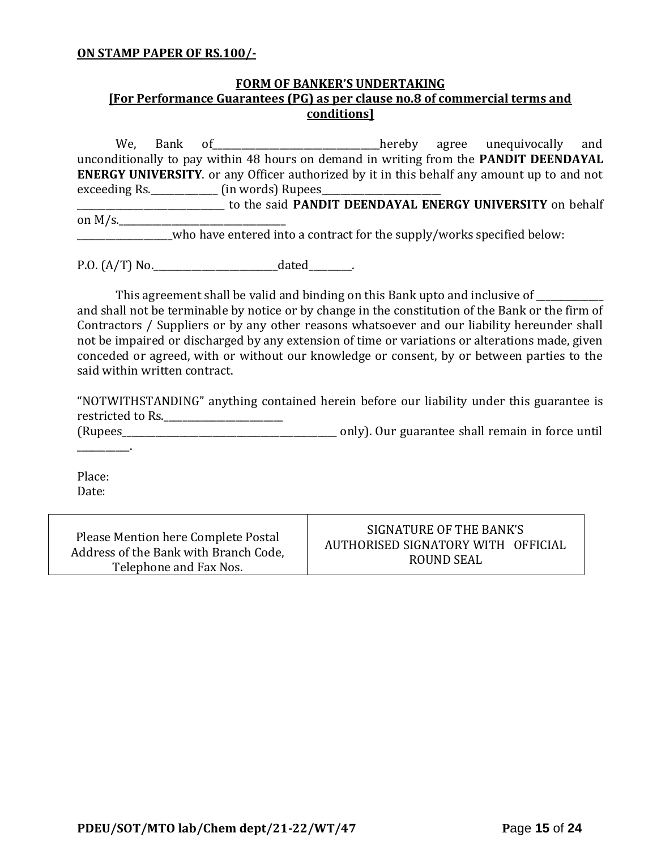#### **ON STAMP PAPER OF RS.100/-**

### **FORM OF BANKER'S UNDERTAKING [For Performance Guarantees (PG) as per clause no.8 of commercial terms and conditions]**

We, Bank of\_\_\_\_\_\_\_\_\_\_\_\_\_\_\_\_\_\_\_\_\_\_\_\_\_\_\_\_\_\_\_\_\_\_\_hereby agree unequivocally and unconditionally to pay within 48 hours on demand in writing from the **PANDIT DEENDAYAL ENERGY UNIVERSITY**. or any Officer authorized by it in this behalf any amount up to and not exceeding Rs. \_\_\_\_\_\_\_\_\_\_\_\_\_\_\_ (in words) Rupees\_\_\_ \_\_\_\_\_\_\_\_\_\_\_\_\_\_\_\_\_\_\_\_\_\_\_\_\_\_\_\_\_\_\_ to the said **PANDIT DEENDAYAL ENERGY UNIVERSITY** on behalf on  $M/s$ . \_\_\_\_\_\_\_\_\_\_\_\_\_\_\_\_\_\_\_\_who have entered into a contract for the supply/works specified below:

P.O. (A/T) No.\_\_\_\_\_\_\_\_\_\_\_\_\_\_\_\_\_\_\_\_\_\_\_\_\_\_dated\_\_\_\_\_\_\_\_\_.

This agreement shall be valid and binding on this Bank upto and inclusive of \_\_\_\_\_\_\_\_\_\_ and shall not be terminable by notice or by change in the constitution of the Bank or the firm of Contractors / Suppliers or by any other reasons whatsoever and our liability hereunder shall not be impaired or discharged by any extension of time or variations or alterations made, given conceded or agreed, with or without our knowledge or consent, by or between parties to the said within written contract.

"NOTWITHSTANDING" anything contained herein before our liability under this guarantee is restricted to Rs.\_\_\_\_\_\_\_\_\_\_\_\_\_\_\_\_\_\_\_\_\_\_\_\_\_

(Rupees\_\_\_\_\_\_\_\_\_\_\_\_\_\_\_\_\_\_\_\_\_\_\_\_\_\_\_\_\_\_\_\_\_\_\_\_\_\_\_\_\_\_\_\_\_ only). Our guarantee shall remain in force until

Place: Date:

 $\mathcal{L}=\mathcal{L}^{\mathcal{L}}$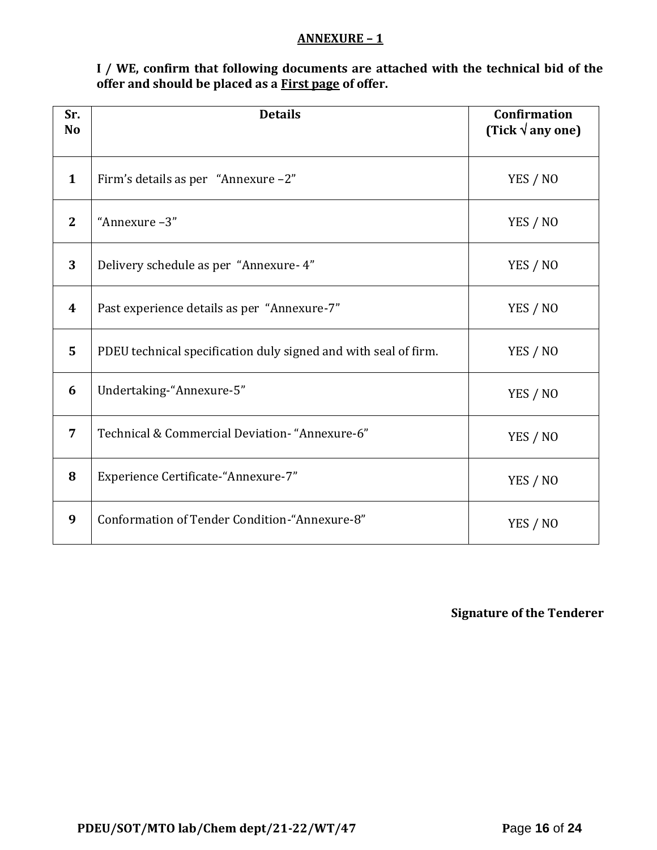### **ANNEXURE – 1**

**I / WE, confirm that following documents are attached with the technical bid of the offer and should be placed as a First page of offer.**

| Sr.<br>N <sub>o</sub> | <b>Details</b>                                                  | <b>Confirmation</b><br>(Tick $\sqrt{$ any one) |
|-----------------------|-----------------------------------------------------------------|------------------------------------------------|
| $\mathbf{1}$          | Firm's details as per "Annexure -2"                             | YES / NO                                       |
| $\mathbf{2}$          | "Annexure-3"                                                    | YES / NO                                       |
| 3                     | Delivery schedule as per "Annexure- 4"                          | YES / NO                                       |
| $\boldsymbol{4}$      | Past experience details as per "Annexure-7"                     | YES / NO                                       |
| 5                     | PDEU technical specification duly signed and with seal of firm. | YES / NO                                       |
| 6                     | Undertaking-"Annexure-5"                                        | YES / NO                                       |
| $\overline{7}$        | Technical & Commercial Deviation- "Annexure-6"                  | YES / NO                                       |
| 8                     | Experience Certificate-"Annexure-7"                             | YES / NO                                       |
| 9                     | Conformation of Tender Condition-"Annexure-8"                   | YES / NO                                       |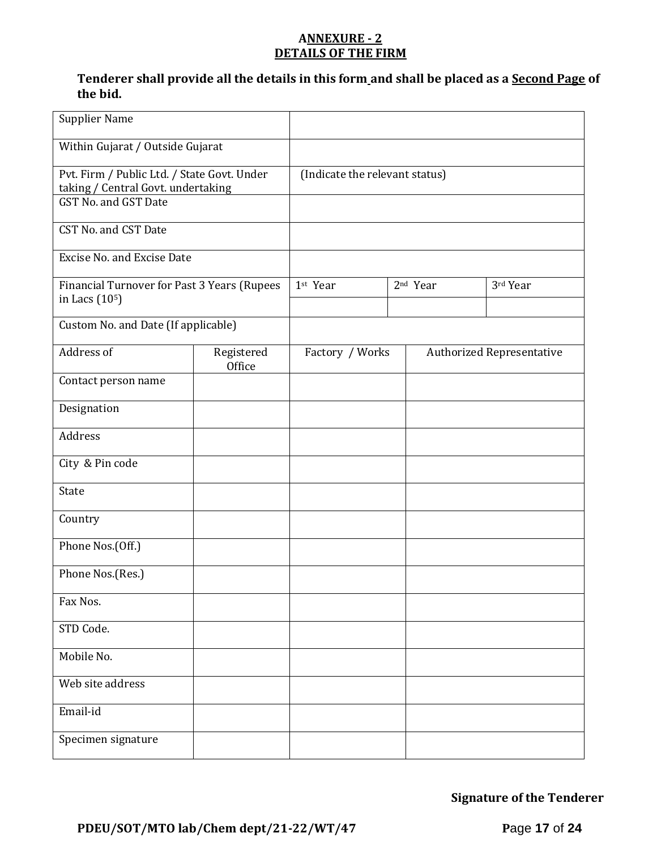### **ANNEXURE - 2 DETAILS OF THE FIRM**

### **Tenderer shall provide all the details in this form and shall be placed as a Second Page of the bid.**

| <b>Supplier Name</b>                                                                                      |                      |                                |                      |                                  |
|-----------------------------------------------------------------------------------------------------------|----------------------|--------------------------------|----------------------|----------------------------------|
| Within Gujarat / Outside Gujarat                                                                          |                      |                                |                      |                                  |
| Pvt. Firm / Public Ltd. / State Govt. Under<br>taking / Central Govt. undertaking<br>GST No. and GST Date |                      | (Indicate the relevant status) |                      |                                  |
| CST No. and CST Date                                                                                      |                      |                                |                      |                                  |
| <b>Excise No. and Excise Date</b>                                                                         |                      |                                |                      |                                  |
| Financial Turnover for Past 3 Years (Rupees<br>in Lacs (10 <sup>5</sup> )                                 |                      | 1st Year                       | 2 <sup>nd</sup> Year | 3rd Year                         |
| Custom No. and Date (If applicable)                                                                       |                      |                                |                      |                                  |
| Address of                                                                                                | Registered<br>Office | Factory / Works                |                      | <b>Authorized Representative</b> |
| Contact person name                                                                                       |                      |                                |                      |                                  |
| Designation                                                                                               |                      |                                |                      |                                  |
| Address                                                                                                   |                      |                                |                      |                                  |
| City & Pin code                                                                                           |                      |                                |                      |                                  |
| State                                                                                                     |                      |                                |                      |                                  |
| Country                                                                                                   |                      |                                |                      |                                  |
| Phone Nos.(Off.)                                                                                          |                      |                                |                      |                                  |
| Phone Nos.(Res.)                                                                                          |                      |                                |                      |                                  |
| Fax Nos.                                                                                                  |                      |                                |                      |                                  |
| STD Code.                                                                                                 |                      |                                |                      |                                  |
| Mobile No.                                                                                                |                      |                                |                      |                                  |
| Web site address                                                                                          |                      |                                |                      |                                  |
| Email-id                                                                                                  |                      |                                |                      |                                  |
| Specimen signature                                                                                        |                      |                                |                      |                                  |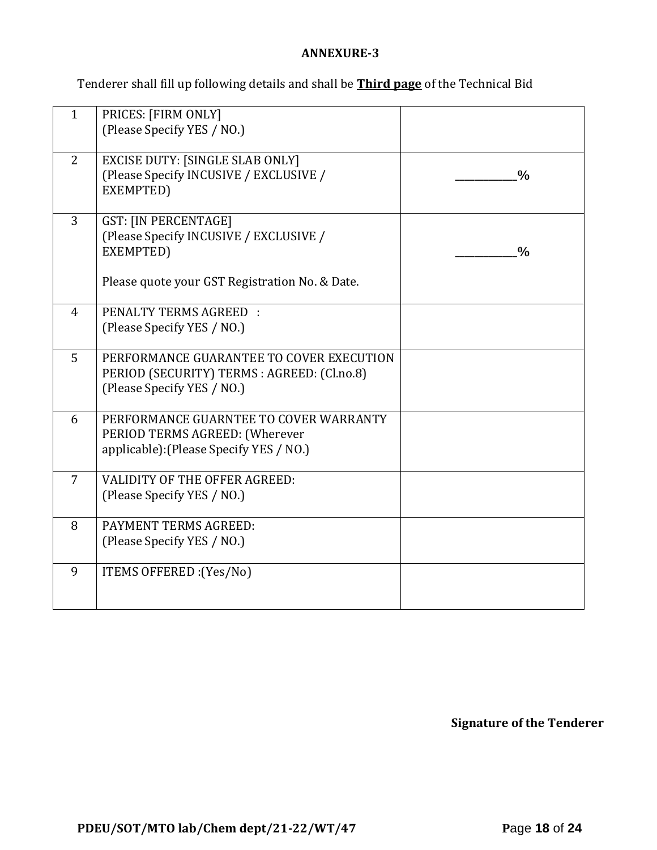### **ANNEXURE-3**

Tenderer shall fill up following details and shall be **Third page** of the Technical Bid

| $\mathbf{1}$   | PRICES: [FIRM ONLY]<br>(Please Specify YES / NO.)                                                                                    |               |
|----------------|--------------------------------------------------------------------------------------------------------------------------------------|---------------|
| 2              | <b>EXCISE DUTY: [SINGLE SLAB ONLY]</b><br>(Please Specify INCUSIVE / EXCLUSIVE /<br>EXEMPTED)                                        | $\frac{0}{0}$ |
| 3              | <b>GST: [IN PERCENTAGE]</b><br>(Please Specify INCUSIVE / EXCLUSIVE /<br>EXEMPTED)<br>Please quote your GST Registration No. & Date. | $\frac{0}{0}$ |
| $\overline{4}$ | <b>PENALTY TERMS AGREED:</b><br>(Please Specify YES / NO.)                                                                           |               |
| 5              | PERFORMANCE GUARANTEE TO COVER EXECUTION<br>PERIOD (SECURITY) TERMS : AGREED: (Cl.no.8)<br>(Please Specify YES / NO.)                |               |
| 6              | PERFORMANCE GUARNTEE TO COVER WARRANTY<br>PERIOD TERMS AGREED: (Wherever<br>applicable): (Please Specify YES / NO.)                  |               |
| 7              | VALIDITY OF THE OFFER AGREED:<br>(Please Specify YES / NO.)                                                                          |               |
| 8              | PAYMENT TERMS AGREED:<br>(Please Specify YES / NO.)                                                                                  |               |
| 9              | ITEMS OFFERED : (Yes/No)                                                                                                             |               |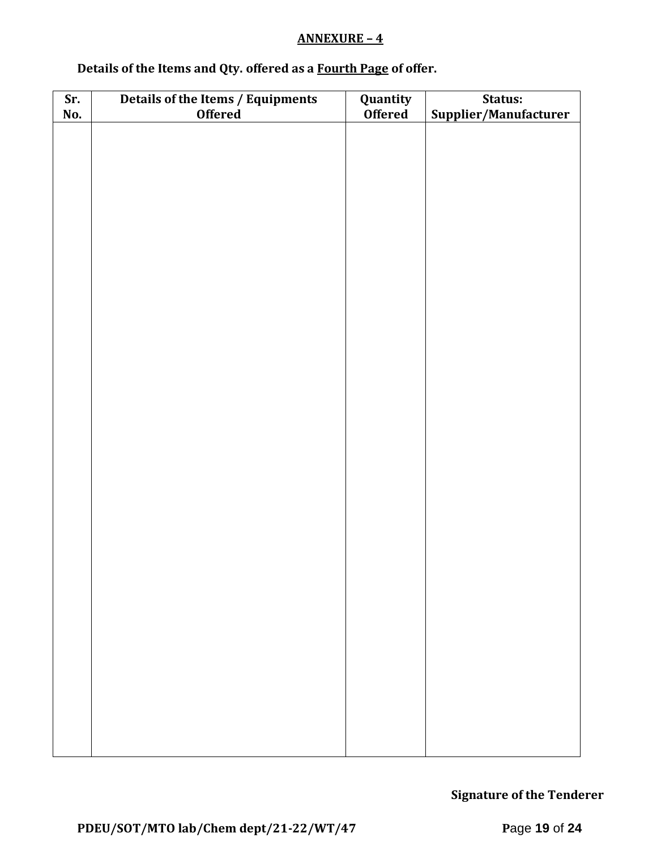### **ANNEXURE – 4**

# **Details of the Items and Qty. offered as a Fourth Page of offer.**

| Sr. | Details of the Items / Equipments | Quantity       | Status:               |  |  |
|-----|-----------------------------------|----------------|-----------------------|--|--|
| No. | <b>Offered</b>                    | <b>Offered</b> | Supplier/Manufacturer |  |  |
|     |                                   |                |                       |  |  |
|     |                                   |                |                       |  |  |
|     |                                   |                |                       |  |  |
|     |                                   |                |                       |  |  |
|     |                                   |                |                       |  |  |
|     |                                   |                |                       |  |  |
|     |                                   |                |                       |  |  |
|     |                                   |                |                       |  |  |
|     |                                   |                |                       |  |  |
|     |                                   |                |                       |  |  |
|     |                                   |                |                       |  |  |
|     |                                   |                |                       |  |  |
|     |                                   |                |                       |  |  |
|     |                                   |                |                       |  |  |
|     |                                   |                |                       |  |  |
|     |                                   |                |                       |  |  |
|     |                                   |                |                       |  |  |
|     |                                   |                |                       |  |  |
|     |                                   |                |                       |  |  |
|     |                                   |                |                       |  |  |
|     |                                   |                |                       |  |  |
|     |                                   |                |                       |  |  |
|     |                                   |                |                       |  |  |
|     |                                   |                |                       |  |  |
|     |                                   |                |                       |  |  |
|     |                                   |                |                       |  |  |
|     |                                   |                |                       |  |  |
|     |                                   |                |                       |  |  |
|     |                                   |                |                       |  |  |
|     |                                   |                |                       |  |  |
|     |                                   |                |                       |  |  |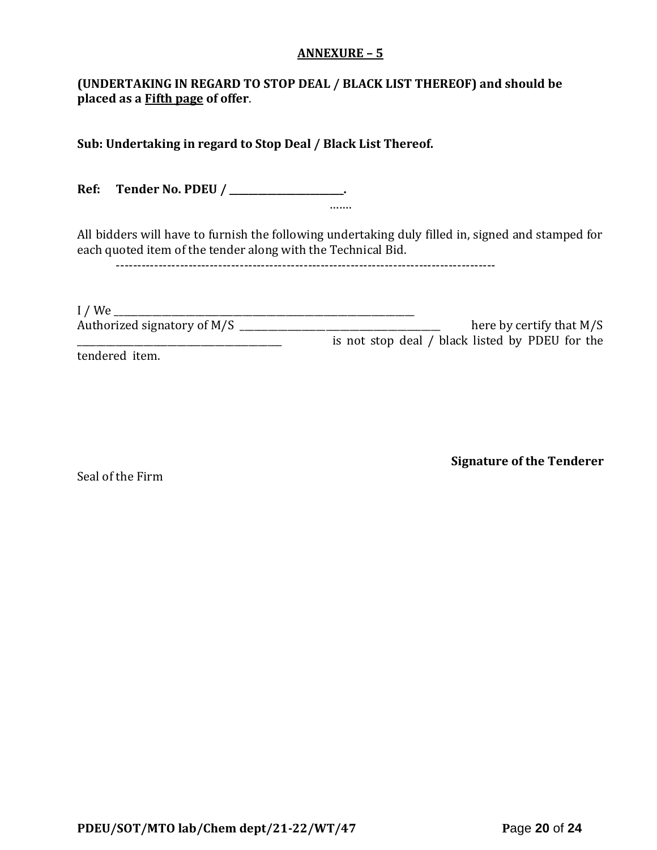### **ANNEXURE – 5**

### **(UNDERTAKING IN REGARD TO STOP DEAL / BLACK LIST THEREOF) and should be placed as a Fifth page of offer**.

**Sub: Undertaking in regard to Stop Deal / Black List Thereof.**

**Ref: Tender No. PDEU / \_\_\_\_\_\_\_\_\_\_\_\_\_\_\_\_\_\_\_\_\_\_\_\_.** …….

All bidders will have to furnish the following undertaking duly filled in, signed and stamped for each quoted item of the tender along with the Technical Bid.

-----------------------------------------------------------------------------------------

| $I$ / We                    |                                                 |
|-----------------------------|-------------------------------------------------|
| Authorized signatory of M/S | here by certify that $M/S$                      |
|                             | is not stop deal / black listed by PDEU for the |
| tendered item.              |                                                 |

Seal of the Firm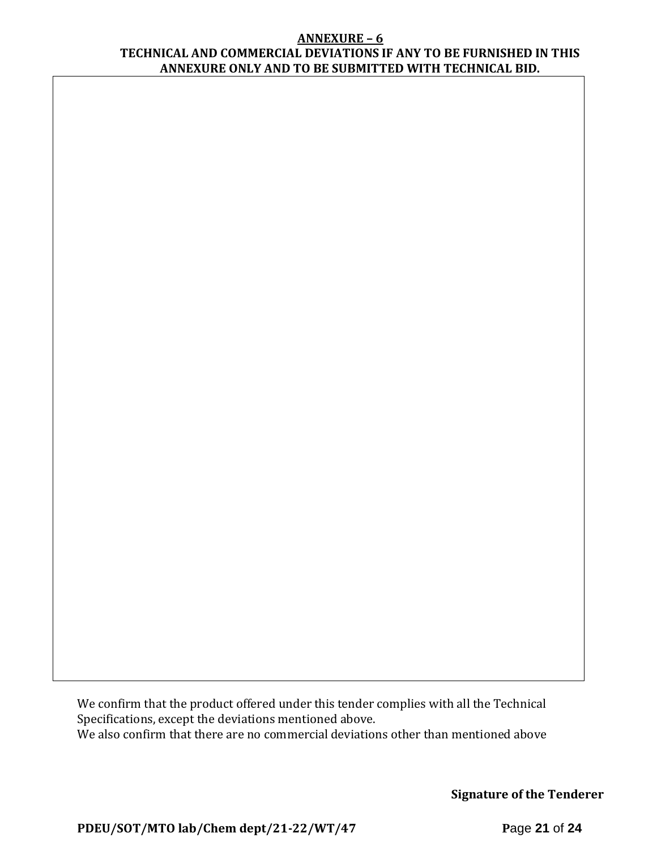#### **ANNEXURE – 6 TECHNICAL AND COMMERCIAL DEVIATIONS IF ANY TO BE FURNISHED IN THIS ANNEXURE ONLY AND TO BE SUBMITTED WITH TECHNICAL BID.**

We confirm that the product offered under this tender complies with all the Technical Specifications, except the deviations mentioned above. We also confirm that there are no commercial deviations other than mentioned above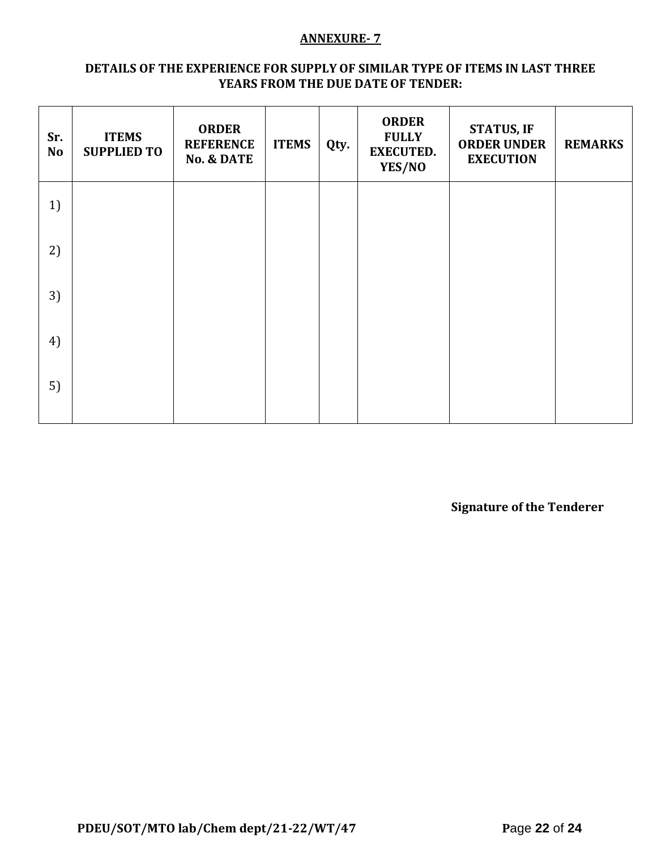### **ANNEXURE- 7**

#### **DETAILS OF THE EXPERIENCE FOR SUPPLY OF SIMILAR TYPE OF ITEMS IN LAST THREE YEARS FROM THE DUE DATE OF TENDER:**

| Sr.<br><b>No</b> | <b>ITEMS</b><br><b>SUPPLIED TO</b> | <b>ORDER</b><br><b>REFERENCE</b><br><b>No. &amp; DATE</b> | <b>ITEMS</b> | Qty. | <b>ORDER</b><br><b>FULLY</b><br><b>EXECUTED.</b><br>YES/NO | <b>STATUS, IF</b><br><b>ORDER UNDER</b><br><b>EXECUTION</b> | <b>REMARKS</b> |
|------------------|------------------------------------|-----------------------------------------------------------|--------------|------|------------------------------------------------------------|-------------------------------------------------------------|----------------|
| 1)               |                                    |                                                           |              |      |                                                            |                                                             |                |
| 2)               |                                    |                                                           |              |      |                                                            |                                                             |                |
| 3)               |                                    |                                                           |              |      |                                                            |                                                             |                |
| 4)               |                                    |                                                           |              |      |                                                            |                                                             |                |
| 5)               |                                    |                                                           |              |      |                                                            |                                                             |                |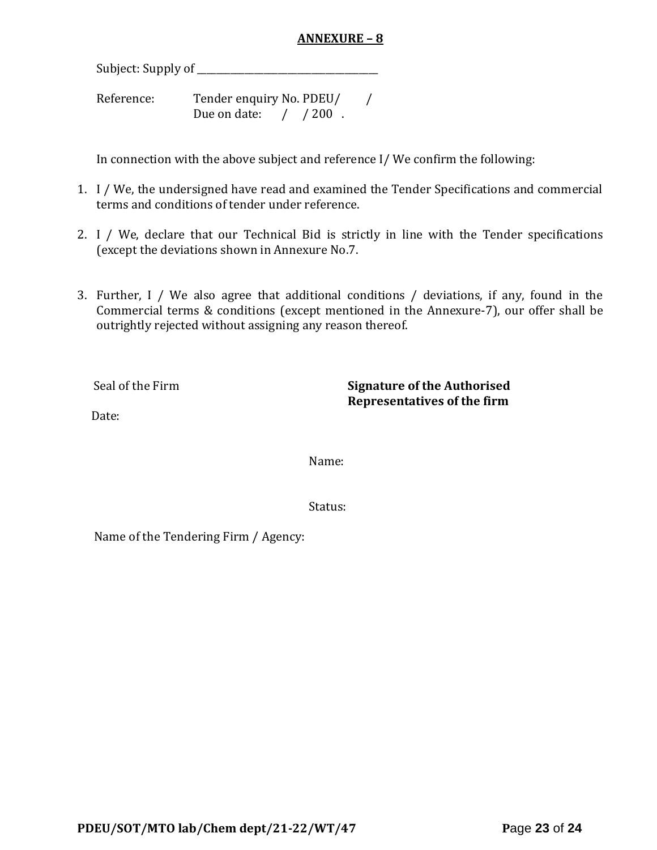### **ANNEXURE – 8**

Subject: Supply of \_\_\_\_\_\_\_\_\_\_\_\_\_\_\_\_\_\_\_\_\_\_\_\_\_\_\_\_\_\_\_\_\_\_\_\_\_\_

Reference: Tender enquiry No. PDEU/ / Due on date: / / 200.

In connection with the above subject and reference I/ We confirm the following:

- 1. I / We, the undersigned have read and examined the Tender Specifications and commercial terms and conditions of tender under reference.
- 2. I / We, declare that our Technical Bid is strictly in line with the Tender specifications (except the deviations shown in Annexure No.7.
- 3. Further, I / We also agree that additional conditions / deviations, if any, found in the Commercial terms & conditions (except mentioned in the Annexure-7), our offer shall be outrightly rejected without assigning any reason thereof.

Seal of the Firm **Signature of the Authorised Representatives of the firm**

Date:

Name:

Status:

Name of the Tendering Firm / Agency: